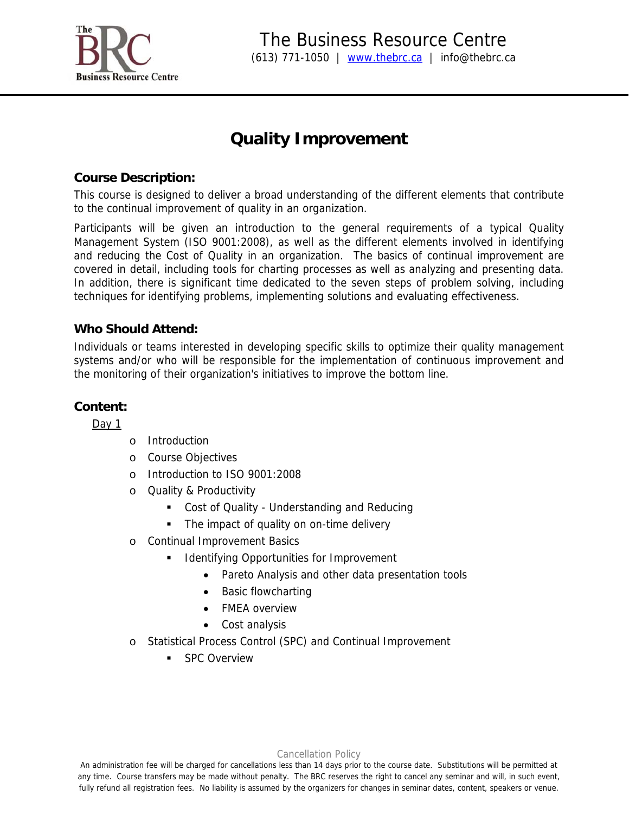

# **Quality Improvement**

### **Course Description:**

This course is designed to deliver a broad understanding of the different elements that contribute to the continual improvement of quality in an organization.

Participants will be given an introduction to the general requirements of a typical Quality Management System (ISO 9001:2008), as well as the different elements involved in identifying and reducing the Cost of Quality in an organization. The basics of continual improvement are covered in detail, including tools for charting processes as well as analyzing and presenting data. In addition, there is significant time dedicated to the seven steps of problem solving, including techniques for identifying problems, implementing solutions and evaluating effectiveness.

# **Who Should Attend:**

Individuals or teams interested in developing specific skills to optimize their quality management systems and/or who will be responsible for the implementation of continuous improvement and the monitoring of their organization's initiatives to improve the bottom line.

# **Content:**

Day  $1$ 

- o Introduction
- o Course Objectives
- o Introduction to ISO 9001:2008
- o Quality & Productivity
	- **Cost of Quality Understanding and Reducing**
	- The impact of quality on on-time delivery
- o Continual Improvement Basics
	- Identifying Opportunities for Improvement
		- Pareto Analysis and other data presentation tools
		- Basic flowcharting
		- FMEA overview
		- Cost analysis
- o Statistical Process Control (SPC) and Continual Improvement
	- **SPC Overview**

#### Cancellation Policy

An administration fee will be charged for cancellations less than 14 days prior to the course date. Substitutions will be permitted at any time. Course transfers may be made without penalty. The BRC reserves the right to cancel any seminar and will, in such event, fully refund all registration fees. No liability is assumed by the organizers for changes in seminar dates, content, speakers or venue.